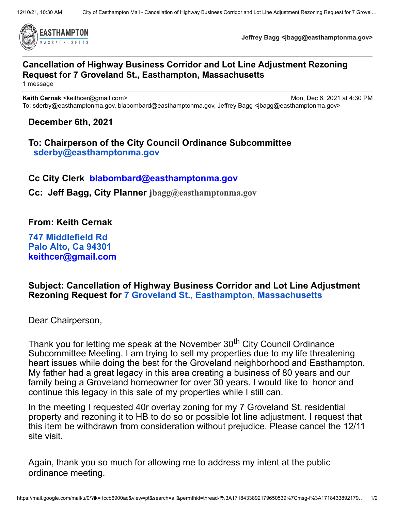

**Jeffrey Bagg <jbagg@easthamptonma.gov>**

## **Cancellation of Highway Business Corridor and Lot Line Adjustment Rezoning Request for 7 Groveland St., Easthampton, Massachusetts**

1 message

**Keith Cernak** <keithcer@gmail.com> Mon, Dec 6, 2021 at 4:30 PM To: sderby@easthamptonma.gov, blabombard@easthamptonma.gov, Jeffrey Bagg <jbagg@easthamptonma.gov>

## **December 6th, 2021**

**To: Chairperson of the City Council Ordinance Subcommittee [sderby@easthamptonma.gov](mailto:sderby@easthamptonma.gov)**

**Cc City Clerk [blabombard@easthamptonma.gov](mailto:blabombard@easthamptonma.gov)**

**Cc: Jeff Bagg, City Planner [jbagg@easthamptonma.gov](mailto:jbagg@easthamptonma.gov)**

**From: Keith Cernak**

**747 [Middlefield](https://www.google.com/maps/search/747+Middlefield+Rd+%0D%0A%0D%0A+Palo+Alto,+Ca+94301?entry=gmail&source=g) Rd Palo Alto, Ca [94301](https://www.google.com/maps/search/747+Middlefield+Rd+%0D%0A%0D%0A+Palo+Alto,+Ca+94301?entry=gmail&source=g) [keithcer@gmail.com](mailto:keithcer@gmail.com)**

## **Subject: Cancellation of Highway Business Corridor and Lot Line Adjustment Rezoning Request for 7 Groveland St., Easthampton, [Massachusetts](https://www.google.com/maps/search/7+Groveland+St.,+Easthampton,+Massachusetts?entry=gmail&source=g)**

Dear Chairperson,

Thank you for letting me speak at the November 30<sup>th</sup> City Council Ordinance Subcommittee Meeting. I am trying to sell my properties due to my life threatening heart issues while doing the best for the Groveland neighborhood and Easthampton. My father had a great legacy in this area creating a business of 80 years and our family being a Groveland homeowner for over 30 years. I would like to honor and continue this legacy in this sale of my properties while I still can.

In the meeting I requested 40r overlay zoning for my 7 Groveland St. residential property and rezoning it to HB to do so or possible lot line adjustment. I request that this item be withdrawn from consideration without prejudice. Please cancel the 12/11 site visit.

Again, thank you so much for allowing me to address my intent at the public ordinance meeting.